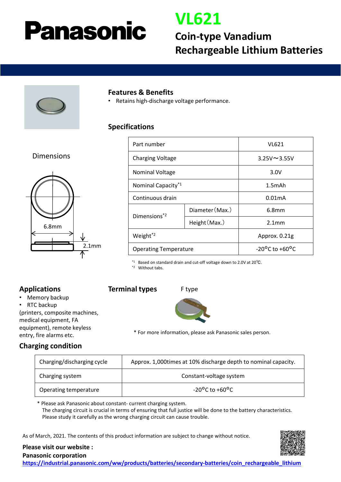# **Panasonic**

### **VL621**

### **Coin-type Vanadium Rechargeable Lithium Batteries**



#### **Features & Benefits**

• Retains high-discharge voltage performance.

#### **Specifications**

#### Dimensions



| Part number                  |                 | VL621                              |
|------------------------------|-----------------|------------------------------------|
| <b>Charging Voltage</b>      |                 | $3.25V \sim 3.55V$                 |
| <b>Nominal Voltage</b>       |                 | 3.0V                               |
| Nominal Capacity*1           |                 | $1.5m$ Ah                          |
| Continuous drain             |                 | 0.01 <sub>mA</sub>                 |
| Dimensions <sup>*2</sup>     | Diameter (Max.) | 6.8 <sub>mm</sub>                  |
|                              | Height (Max.)   | 2.1 <sub>mm</sub>                  |
| Weight <sup>*2</sup>         |                 | Approx. 0.21g                      |
| <b>Operating Temperature</b> |                 | $-20^{\circ}$ C to $+60^{\circ}$ C |

\*1 Based on standard drain and cut-off voltage down to 2.0V at 20℃.

\*2 Without tabs.

#### **Applications**

• Memory backup

RTC backup (printers, composite machines, medical equipment, FA

equipment), remote keyless entry, fire alarms etc.







\* For more information, please ask Panasonic sales person.

#### **Charging condition**

| Charging/discharging cycle | Approx. 1,000 times at 10% discharge depth to nominal capacity. |  |
|----------------------------|-----------------------------------------------------------------|--|
| Charging system            | Constant-voltage system                                         |  |
| Operating temperature      | $-20^{\circ}$ C to $+60^{\circ}$ C                              |  |

\* Please ask Panasonic about constant- current charging system. The charging circuit is crucial in terms of ensuring that full justice will be done to the battery characteristics. Please study it carefully as the wrong charging circuit can cause trouble.

As of March, 2021. The contents of this product information are subject to change without notice.



**Please visit our website :**

**Panasonic corporation [https://industrial.panasonic.com/ww/products/batteries/secondary-batteries/coin\\_rechargeable\\_lithium](https://industrial.panasonic.com/ww/products/batteries/secondary-batteries/coin_rechargeable_lithium)**